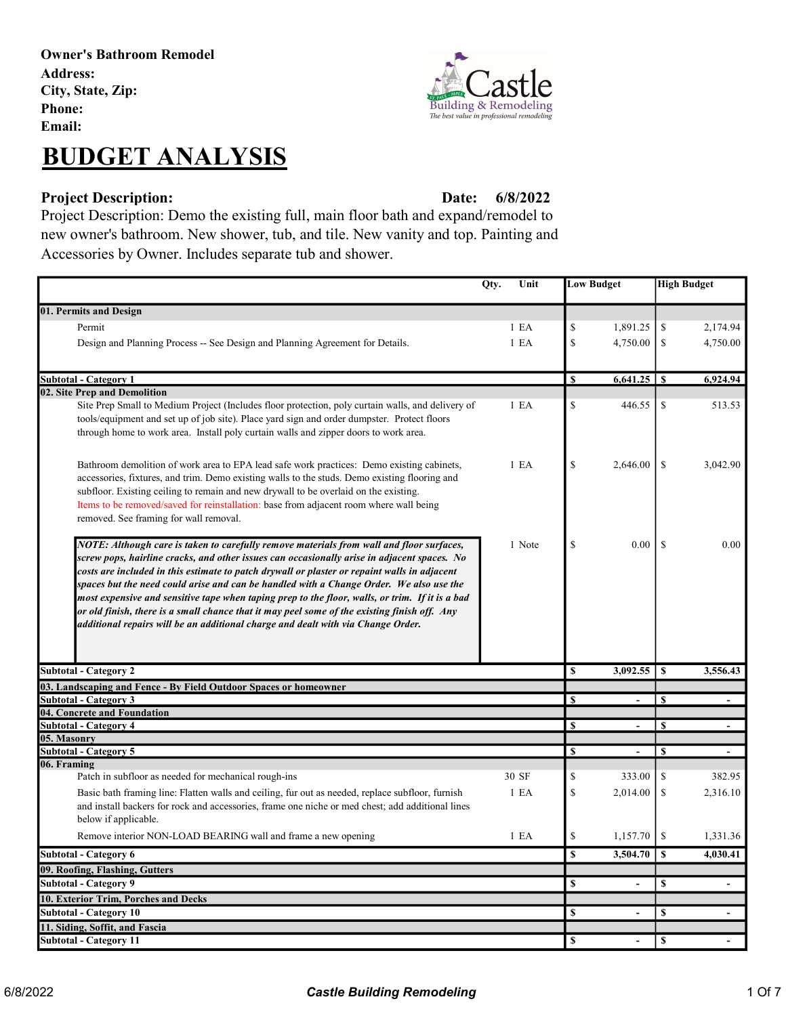Owner's Bathroom Remodel Address: City, State, Zip: Phone: Email:

## BUDGET ANALYSIS

## Project Description: Date:

6/8/2022

Project Description: Demo the existing full, main floor bath and expand/remodel to new owner's bathroom. New shower, tub, and tile. New vanity and top. Painting and Accessories by Owner. Includes separate tub and shower.

|                                                                                                                                                                                                                                                                                                                                                                                                                                                                                                                                                                                                                                                                           | Qty. | Unit             | <b>Low Budget</b> |                          | <b>High Budget</b> |                |
|---------------------------------------------------------------------------------------------------------------------------------------------------------------------------------------------------------------------------------------------------------------------------------------------------------------------------------------------------------------------------------------------------------------------------------------------------------------------------------------------------------------------------------------------------------------------------------------------------------------------------------------------------------------------------|------|------------------|-------------------|--------------------------|--------------------|----------------|
|                                                                                                                                                                                                                                                                                                                                                                                                                                                                                                                                                                                                                                                                           |      |                  |                   |                          |                    |                |
| 01. Permits and Design                                                                                                                                                                                                                                                                                                                                                                                                                                                                                                                                                                                                                                                    |      |                  |                   |                          |                    |                |
| Permit                                                                                                                                                                                                                                                                                                                                                                                                                                                                                                                                                                                                                                                                    |      | 1 E <sub>A</sub> | \$                | 1,891.25                 | \$                 | 2,174.94       |
| Design and Planning Process -- See Design and Planning Agreement for Details.                                                                                                                                                                                                                                                                                                                                                                                                                                                                                                                                                                                             |      | 1 E A            | \$                | 4,750.00                 | \$                 | 4,750.00       |
| <b>Subtotal - Category 1</b>                                                                                                                                                                                                                                                                                                                                                                                                                                                                                                                                                                                                                                              |      |                  | \$                |                          |                    | 6,924.94       |
| 02. Site Prep and Demolition                                                                                                                                                                                                                                                                                                                                                                                                                                                                                                                                                                                                                                              |      |                  |                   |                          |                    |                |
| Site Prep Small to Medium Project (Includes floor protection, poly curtain walls, and delivery of<br>tools/equipment and set up of job site). Place yard sign and order dumpster. Protect floors<br>through home to work area. Install poly curtain walls and zipper doors to work area.                                                                                                                                                                                                                                                                                                                                                                                  |      | 1 E A            | \$                | 446.55                   | \$                 | 513.53         |
| Bathroom demolition of work area to EPA lead safe work practices: Demo existing cabinets,<br>accessories, fixtures, and trim. Demo existing walls to the studs. Demo existing flooring and<br>subfloor. Existing ceiling to remain and new drywall to be overlaid on the existing.<br>Items to be removed/saved for reinstallation: base from adjacent room where wall being<br>removed. See framing for wall removal.                                                                                                                                                                                                                                                    |      | 1 E <sub>A</sub> | \$                | 2,646.00                 | <sup>\$</sup>      | 3,042.90       |
| NOTE: Although care is taken to carefully remove materials from wall and floor surfaces,<br>screw pops, hairline cracks, and other issues can occasionally arise in adjacent spaces. No<br>costs are included in this estimate to patch drywall or plaster or repaint walls in adjacent<br>spaces but the need could arise and can be handled with a Change Order. We also use the<br>most expensive and sensitive tape when taping prep to the floor, walls, or trim. If it is a bad<br>or old finish, there is a small chance that it may peel some of the existing finish off. Any<br>additional repairs will be an additional charge and dealt with via Change Order. |      | 1 Note           | \$                | 0.00                     | -S                 | 0.00           |
| <b>Subtotal - Category 2</b>                                                                                                                                                                                                                                                                                                                                                                                                                                                                                                                                                                                                                                              |      |                  | \$                | 3,092.55                 | \$                 | 3,556.43       |
| 03. Landscaping and Fence - By Field Outdoor Spaces or homeowner                                                                                                                                                                                                                                                                                                                                                                                                                                                                                                                                                                                                          |      |                  |                   |                          |                    |                |
| <b>Subtotal - Category 3</b>                                                                                                                                                                                                                                                                                                                                                                                                                                                                                                                                                                                                                                              |      |                  | \$                |                          | \$                 |                |
| 04. Concrete and Foundation                                                                                                                                                                                                                                                                                                                                                                                                                                                                                                                                                                                                                                               |      |                  |                   |                          |                    |                |
| <b>Subtotal - Category 4</b>                                                                                                                                                                                                                                                                                                                                                                                                                                                                                                                                                                                                                                              |      |                  | \$                | $\overline{\phantom{a}}$ | \$                 |                |
| 05. Masonry                                                                                                                                                                                                                                                                                                                                                                                                                                                                                                                                                                                                                                                               |      |                  |                   |                          |                    |                |
| <b>Subtotal - Category 5</b><br>06. Framing                                                                                                                                                                                                                                                                                                                                                                                                                                                                                                                                                                                                                               |      |                  | <b>S</b>          | $\overline{\phantom{a}}$ | \$                 | $\blacksquare$ |
| Patch in subfloor as needed for mechanical rough-ins                                                                                                                                                                                                                                                                                                                                                                                                                                                                                                                                                                                                                      |      | 30 SF            | \$                | 333.00                   | \$                 | 382.95         |
| Basic bath framing line: Flatten walls and ceiling, fur out as needed, replace subfloor, furnish                                                                                                                                                                                                                                                                                                                                                                                                                                                                                                                                                                          |      | 1 E A            | \$                | 2.014.00                 | \$                 | 2.316.10       |
| and install backers for rock and accessories, frame one niche or med chest; add additional lines<br>below if applicable.                                                                                                                                                                                                                                                                                                                                                                                                                                                                                                                                                  |      |                  |                   |                          |                    |                |
| Remove interior NON-LOAD BEARING wall and frame a new opening                                                                                                                                                                                                                                                                                                                                                                                                                                                                                                                                                                                                             |      | 1 E A            | \$                | 1,157.70                 | -S                 | 1,331.36       |
| Subtotal - Category 6                                                                                                                                                                                                                                                                                                                                                                                                                                                                                                                                                                                                                                                     |      |                  | \$                | 3,504.70                 | $\mathbf{s}$       | 4,030.41       |
| 09. Roofing, Flashing, Gutters                                                                                                                                                                                                                                                                                                                                                                                                                                                                                                                                                                                                                                            |      |                  |                   |                          |                    |                |
| <b>Subtotal - Category 9</b>                                                                                                                                                                                                                                                                                                                                                                                                                                                                                                                                                                                                                                              |      |                  | \$                | $\overline{\phantom{a}}$ | \$                 | $\sim$         |
| 10. Exterior Trim, Porches and Decks                                                                                                                                                                                                                                                                                                                                                                                                                                                                                                                                                                                                                                      |      |                  |                   |                          |                    |                |
| <b>Subtotal - Category 10</b>                                                                                                                                                                                                                                                                                                                                                                                                                                                                                                                                                                                                                                             |      |                  | \$                | $\overline{\phantom{a}}$ | \$                 | $\sim$         |
| 11. Siding, Soffit, and Fascia                                                                                                                                                                                                                                                                                                                                                                                                                                                                                                                                                                                                                                            |      |                  |                   |                          |                    |                |
| <b>Subtotal - Category 11</b>                                                                                                                                                                                                                                                                                                                                                                                                                                                                                                                                                                                                                                             |      |                  | S                 | $\overline{\phantom{a}}$ | \$                 |                |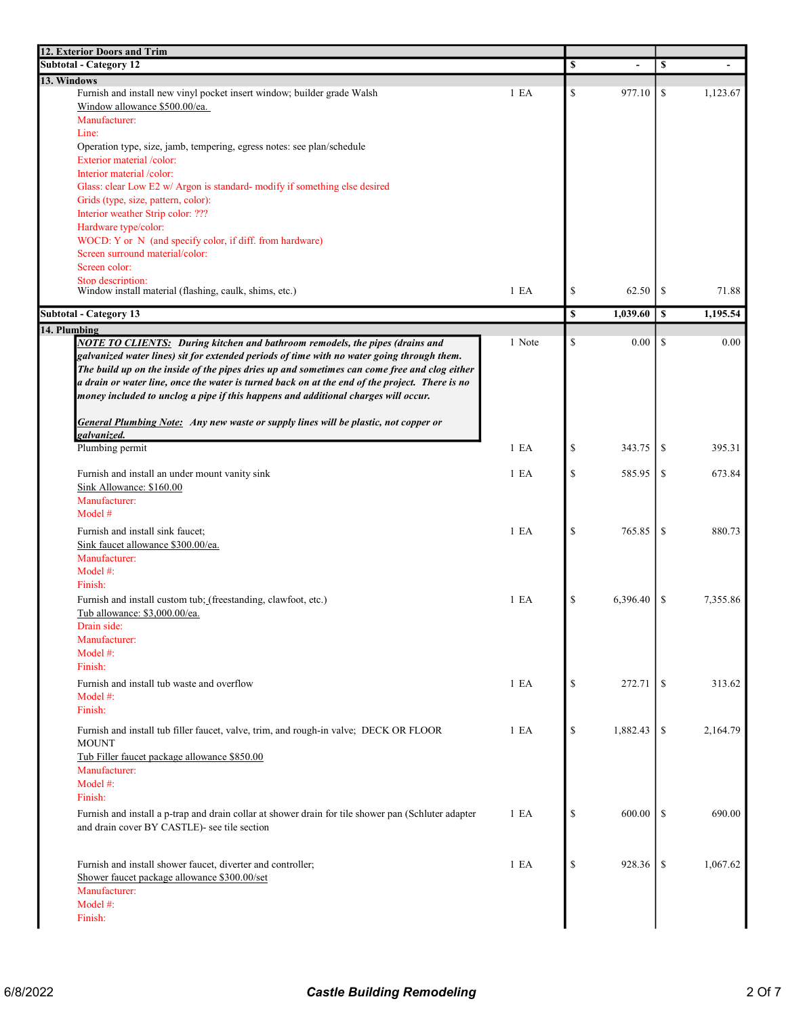| <b>12. Exterior Doors and Trim<br/>Subtotal - Category 12</b>                                                                                                                                  |                  | \$            |          | \$             |
|------------------------------------------------------------------------------------------------------------------------------------------------------------------------------------------------|------------------|---------------|----------|----------------|
| 13. Windows                                                                                                                                                                                    |                  |               |          |                |
| Furnish and install new vinyl pocket insert window; builder grade Walsh                                                                                                                        | 1 E A            | \$            | 977.10   | \$<br>1,123.67 |
| Window allowance \$500.00/ea.                                                                                                                                                                  |                  |               |          |                |
| Manufacturer:                                                                                                                                                                                  |                  |               |          |                |
| Line:                                                                                                                                                                                          |                  |               |          |                |
| Operation type, size, jamb, tempering, egress notes: see plan/schedule                                                                                                                         |                  |               |          |                |
| Exterior material /color:                                                                                                                                                                      |                  |               |          |                |
| Interior material /color:                                                                                                                                                                      |                  |               |          |                |
| Glass: clear Low E2 w/ Argon is standard- modify if something else desired                                                                                                                     |                  |               |          |                |
| Grids (type, size, pattern, color):                                                                                                                                                            |                  |               |          |                |
| Interior weather Strip color: ???                                                                                                                                                              |                  |               |          |                |
| Hardware type/color:<br>WOCD: Y or N (and specify color, if diff. from hardware)                                                                                                               |                  |               |          |                |
| Screen surround material/color:                                                                                                                                                                |                  |               |          |                |
| Screen color:                                                                                                                                                                                  |                  |               |          |                |
| Stop description:                                                                                                                                                                              |                  |               |          |                |
| Window install material (flashing, caulk, shims, etc.)                                                                                                                                         | 1 E A            | \$            | 62.50    | \$<br>71.88    |
|                                                                                                                                                                                                |                  |               |          |                |
| <b>Subtotal - Category 13</b>                                                                                                                                                                  |                  | \$            | 1,039.60 | \$<br>1,195.54 |
| 14. Plumbing                                                                                                                                                                                   | 1 Note           | \$            | 0.00     | \$<br>0.00     |
| <b>NOTE TO CLIENTS:</b> During kitchen and bathroom remodels, the pipes (drains and                                                                                                            |                  |               |          |                |
| galvanized water lines) sit for extended periods of time with no water going through them.                                                                                                     |                  |               |          |                |
| The build up on the inside of the pipes dries up and sometimes can come free and clog either<br>a drain or water line, once the water is turned back on at the end of the project. There is no |                  |               |          |                |
| money included to unclog a pipe if this happens and additional charges will occur.                                                                                                             |                  |               |          |                |
|                                                                                                                                                                                                |                  |               |          |                |
| <b>General Plumbing Note:</b> Any new waste or supply lines will be plastic, not copper or                                                                                                     |                  |               |          |                |
| galvanized.                                                                                                                                                                                    |                  |               |          |                |
| Plumbing permit                                                                                                                                                                                | 1 E A            | $\mathcal{S}$ | 343.75   | \$<br>395.31   |
|                                                                                                                                                                                                |                  |               |          |                |
| Furnish and install an under mount vanity sink                                                                                                                                                 | 1 E <sub>A</sub> | \$            | 585.95   | \$<br>673.84   |
| Sink Allowance: \$160.00                                                                                                                                                                       |                  |               |          |                |
| Manufacturer:                                                                                                                                                                                  |                  |               |          |                |
| Model #                                                                                                                                                                                        |                  |               |          |                |
| Furnish and install sink faucet;                                                                                                                                                               | 1 E <sub>A</sub> | <sup>\$</sup> | 765.85   | \$<br>880.73   |
| Sink faucet allowance \$300.00/ea.                                                                                                                                                             |                  |               |          |                |
| Manufacturer:                                                                                                                                                                                  |                  |               |          |                |
| Model #:                                                                                                                                                                                       |                  |               |          |                |
| Finish:                                                                                                                                                                                        |                  |               |          |                |
| Furnish and install custom tub; (freestanding, clawfoot, etc.)                                                                                                                                 | 1 E A            | $\mathcal{S}$ | 6,396.40 | \$<br>7,355.86 |
| Tub allowance: \$3,000.00/ea.                                                                                                                                                                  |                  |               |          |                |
| Drain side:                                                                                                                                                                                    |                  |               |          |                |
| Manufacturer:                                                                                                                                                                                  |                  |               |          |                |
| Model #:                                                                                                                                                                                       |                  |               |          |                |
| Finish:                                                                                                                                                                                        |                  |               |          |                |
| Furnish and install tub waste and overflow                                                                                                                                                     |                  |               |          |                |
| Model $#$ :                                                                                                                                                                                    | 1 E A            | $\mathcal{S}$ | 272.71   | \$<br>313.62   |
|                                                                                                                                                                                                |                  |               |          |                |
| Finish:                                                                                                                                                                                        |                  |               |          |                |
| Furnish and install tub filler faucet, valve, trim, and rough-in valve; DECK OR FLOOR                                                                                                          | 1 E A            | $\mathbb{S}$  | 1,882.43 | \$<br>2,164.79 |
| <b>MOUNT</b>                                                                                                                                                                                   |                  |               |          |                |
| Tub Filler faucet package allowance \$850.00                                                                                                                                                   |                  |               |          |                |
| Manufacturer:                                                                                                                                                                                  |                  |               |          |                |
| Model $#$ :                                                                                                                                                                                    |                  |               |          |                |
| Finish:                                                                                                                                                                                        |                  |               |          |                |
| Furnish and install a p-trap and drain collar at shower drain for tile shower pan (Schluter adapter                                                                                            | 1 E A            | $\mathcal{S}$ | 600.00   | \$<br>690.00   |
| and drain cover BY CASTLE)- see tile section                                                                                                                                                   |                  |               |          |                |
|                                                                                                                                                                                                |                  |               |          |                |
| Furnish and install shower faucet, diverter and controller;                                                                                                                                    | 1 E A            | \$            | 928.36   | \$<br>1,067.62 |
| Shower faucet package allowance \$300.00/set                                                                                                                                                   |                  |               |          |                |
| Manufacturer:                                                                                                                                                                                  |                  |               |          |                |
| Model #:                                                                                                                                                                                       |                  |               |          |                |
| Finish:                                                                                                                                                                                        |                  |               |          |                |
|                                                                                                                                                                                                |                  |               |          |                |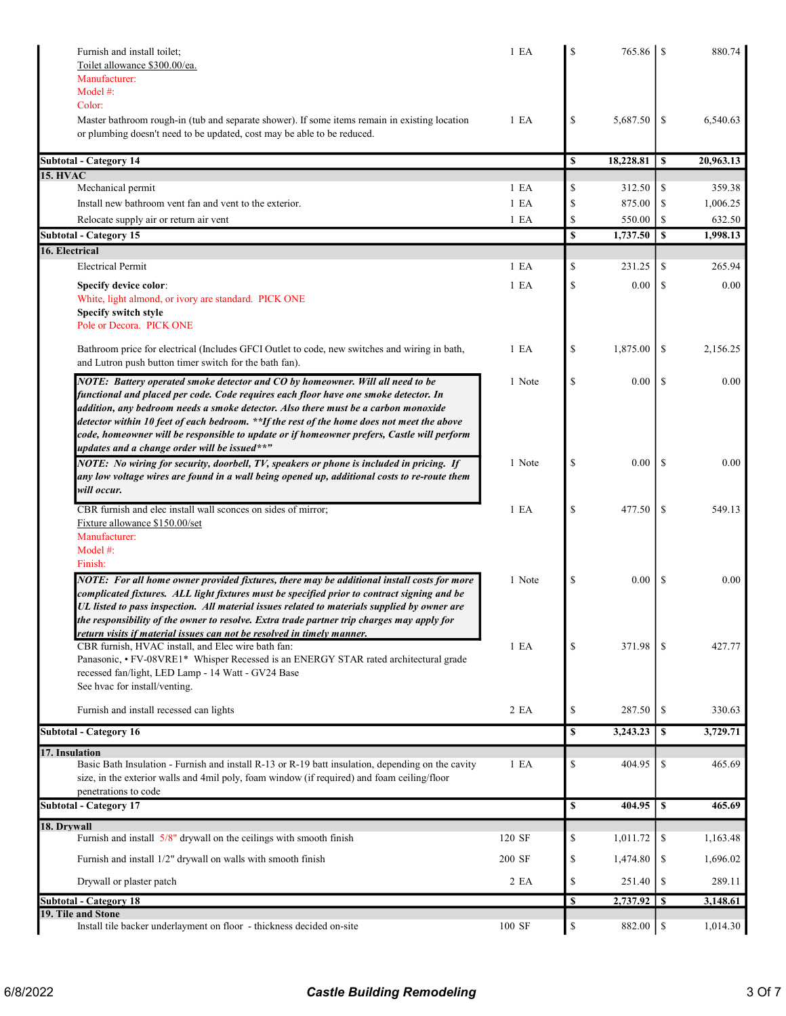| Furnish and install toilet;                                                                                                                                                              | 1 E A            | S           | 765.86    |               | 880.74    |
|------------------------------------------------------------------------------------------------------------------------------------------------------------------------------------------|------------------|-------------|-----------|---------------|-----------|
| Toilet allowance \$300.00/ea.                                                                                                                                                            |                  |             |           |               |           |
| Manufacturer:<br>Model #:                                                                                                                                                                |                  |             |           |               |           |
| Color:                                                                                                                                                                                   |                  |             |           |               |           |
| Master bathroom rough-in (tub and separate shower). If some items remain in existing location                                                                                            | 1 E A            | \$          | 5,687.50  | \$            | 6,540.63  |
| or plumbing doesn't need to be updated, cost may be able to be reduced.                                                                                                                  |                  |             |           |               |           |
|                                                                                                                                                                                          |                  |             |           |               |           |
| <b>Subtotal - Category 14</b>                                                                                                                                                            |                  | \$          | 18,228.81 | S             | 20,963.13 |
| <b>15. HVAC</b><br>Mechanical permit                                                                                                                                                     | 1 E <sub>A</sub> | \$          | 312.50    | \$            | 359.38    |
| Install new bathroom vent fan and vent to the exterior.                                                                                                                                  | 1 E A            | \$          | 875.00    | \$            | 1,006.25  |
| Relocate supply air or return air vent                                                                                                                                                   | 1 E A            | \$          | 550.00    | \$            | 632.50    |
| <b>Subtotal - Category 15</b>                                                                                                                                                            |                  | $\mathbf S$ | 1,737.50  | \$            | 1,998.13  |
| 16. Electrical                                                                                                                                                                           |                  |             |           |               |           |
| <b>Electrical Permit</b>                                                                                                                                                                 | 1 E <sub>A</sub> | \$          | 231.25    | \$            | 265.94    |
| Specify device color:                                                                                                                                                                    | 1 E A            | \$          | 0.00      | \$            | 0.00      |
| White, light almond, or ivory are standard. PICK ONE                                                                                                                                     |                  |             |           |               |           |
| Specify switch style                                                                                                                                                                     |                  |             |           |               |           |
| Pole or Decora. PICK ONE                                                                                                                                                                 |                  |             |           |               |           |
| Bathroom price for electrical (Includes GFCI Outlet to code, new switches and wiring in bath,                                                                                            | 1 E A            | \$          | 1,875.00  | S             | 2,156.25  |
| and Lutron push button timer switch for the bath fan).                                                                                                                                   |                  |             |           |               |           |
| NOTE: Battery operated smoke detector and CO by homeowner. Will all need to be                                                                                                           | 1 Note           | \$          | 0.00      | <sup>\$</sup> | 0.00      |
| functional and placed per code. Code requires each floor have one smoke detector. In                                                                                                     |                  |             |           |               |           |
| addition, any bedroom needs a smoke detector. Also there must be a carbon monoxide                                                                                                       |                  |             |           |               |           |
| detector within 10 feet of each bedroom. **If the rest of the home does not meet the above                                                                                               |                  |             |           |               |           |
| code, homeowner will be responsible to update or if homeowner prefers, Castle will perform                                                                                               |                  |             |           |               |           |
| updates and a change order will be issued**"                                                                                                                                             |                  |             |           |               |           |
| NOTE: No wiring for security, doorbell, TV, speakers or phone is included in pricing. If<br>any low voltage wires are found in a wall being opened up, additional costs to re-route them | 1 Note           | \$          | 0.00      | <sup>\$</sup> | 0.00      |
| will occur.                                                                                                                                                                              |                  |             |           |               |           |
| CBR furnish and elec install wall sconces on sides of mirror;                                                                                                                            | 1 E A            | \$          | 477.50    | <sup>\$</sup> | 549.13    |
| Fixture allowance \$150.00/set                                                                                                                                                           |                  |             |           |               |           |
| Manufacturer:                                                                                                                                                                            |                  |             |           |               |           |
| Model #:                                                                                                                                                                                 |                  |             |           |               |           |
| Finish:                                                                                                                                                                                  |                  |             |           |               |           |
| NOTE: For all home owner provided fixtures, there may be additional install costs for more                                                                                               | 1 Note           | \$          | $0.00\,$  | -S            | 0.00      |
| complicated fixtures. ALL light fixtures must be specified prior to contract signing and be                                                                                              |                  |             |           |               |           |
| UL listed to pass inspection. All material issues related to materials supplied by owner are                                                                                             |                  |             |           |               |           |
| the responsibility of the owner to resolve. Extra trade partner trip charges may apply for<br>return visits if material issues can not be resolved in timely manner.                     |                  |             |           |               |           |
| CBR furnish, HVAC install, and Elec wire bath fan:                                                                                                                                       | 1 E A            | \$          | 371.98    | \$            | 427.77    |
| Panasonic, • FV-08VRE1* Whisper Recessed is an ENERGY STAR rated architectural grade                                                                                                     |                  |             |           |               |           |
| recessed fan/light, LED Lamp - 14 Watt - GV24 Base                                                                                                                                       |                  |             |           |               |           |
| See hvac for install/venting.                                                                                                                                                            |                  |             |           |               |           |
| Furnish and install recessed can lights                                                                                                                                                  | 2 EA             | \$          | 287.50    | \$            | 330.63    |
| <b>Subtotal - Category 16</b>                                                                                                                                                            |                  | \$          | 3,243.23  | $\mathbf s$   | 3,729.71  |
| 17. Insulation                                                                                                                                                                           |                  |             |           |               |           |
| Basic Bath Insulation - Furnish and install R-13 or R-19 batt insulation, depending on the cavity                                                                                        | 1 E A            | \$          | 404.95    | \$            | 465.69    |
| size, in the exterior walls and 4mil poly, foam window (if required) and foam ceiling/floor                                                                                              |                  |             |           |               |           |
| penetrations to code                                                                                                                                                                     |                  |             |           |               |           |
| <b>Subtotal - Category 17</b>                                                                                                                                                            |                  | \$          | 404.95    | $\mathbf{s}$  | 465.69    |
| 18. Drywall                                                                                                                                                                              |                  |             |           |               |           |
| Furnish and install 5/8" drywall on the ceilings with smooth finish                                                                                                                      | 120 SF           | \$          | 1,011.72  | \$            | 1,163.48  |
| Furnish and install 1/2" drywall on walls with smooth finish                                                                                                                             | 200 SF           | \$          | 1,474.80  | \$            | 1,696.02  |
| Drywall or plaster patch                                                                                                                                                                 | 2 EA             | \$          | 251.40    | \$            | 289.11    |
| <b>Subtotal - Category 18</b>                                                                                                                                                            |                  | \$          | 2,737.92  | $\mathbf{s}$  | 3,148.61  |
| 19. Tile and Stone<br>Install tile backer underlayment on floor - thickness decided on-site                                                                                              | 100 SF           | \$          | 882.00    | \$            | 1,014.30  |
|                                                                                                                                                                                          |                  |             |           |               |           |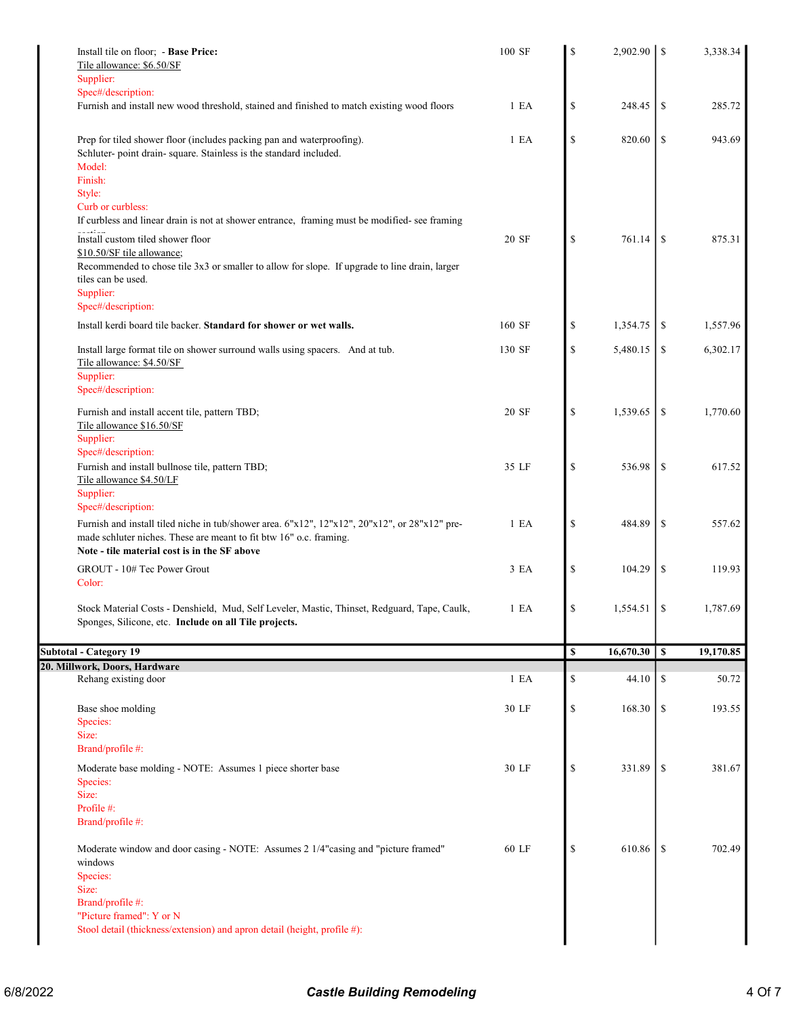| 1 E A  | $\mathbb{S}% _{t}\left( t\right) \equiv\mathbb{S}_{t}\left( t\right)$ | 248.45    | \$    | 285.72    |
|--------|-----------------------------------------------------------------------|-----------|-------|-----------|
| 1 E A  | $\mathbb{S}$                                                          | 820.60    | \$    | 943.69    |
| 20 SF  | \$                                                                    | 761.14    | \$    | 875.31    |
| 160 SF | \$                                                                    | 1,354.75  | \$    | 1,557.96  |
| 130 SF | $\mathbb{S}$                                                          | 5,480.15  | \$    | 6,302.17  |
| 20 SF  | $\mathcal{S}$                                                         | 1,539.65  | \$    | 1,770.60  |
| 35 LF  | $\mathcal{S}$                                                         | 536.98    | \$    | 617.52    |
| 1 E A  | $\mathcal{S}$                                                         | 484.89    | \$    | 557.62    |
| 3 EA   | $\mathcal{S}$                                                         | 104.29    | \$    | 119.93    |
| 1 E A  | $\mathbb{S}$                                                          | 1,554.51  | -\$   | 1,787.69  |
|        | <b>S</b>                                                              | 16,670.30 | S     | 19,170.85 |
|        |                                                                       |           |       | 50.72     |
|        |                                                                       |           |       |           |
| 30 LF  | $\mathbb{S}% _{t}\left( t\right) \equiv\mathbb{S}_{t}\left( t\right)$ | 168.30    | \$    | 193.55    |
| 30 LF  | $\mathcal{S}$                                                         | 331.89    | \$    | 381.67    |
| 60 LF  | $\mathbb{S}% _{t}\left( t\right)$                                     | 610.86    | -S    | 702.49    |
|        | 1 E A                                                                 | \$        | 44.10 | \$        |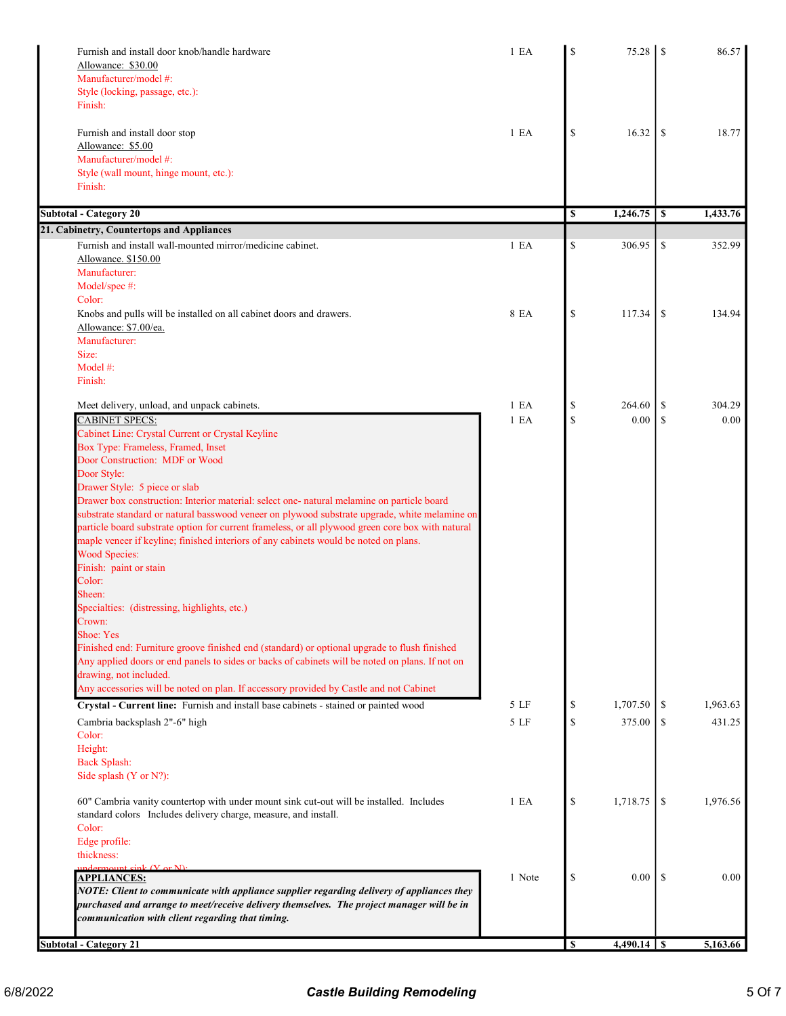| Furnish and install door knob/handle hardware<br>Allowance: \$30.00                               | 1 E A  | $\mathbf S$   | 75.28    | <sup>\$</sup> | 86.57    |
|---------------------------------------------------------------------------------------------------|--------|---------------|----------|---------------|----------|
| Manufacturer/model #:                                                                             |        |               |          |               |          |
| Style (locking, passage, etc.):                                                                   |        |               |          |               |          |
| Finish:                                                                                           |        |               |          |               |          |
| Furnish and install door stop                                                                     | 1 E A  | \$            | 16.32    | <sup>\$</sup> | 18.77    |
| Allowance: \$5.00                                                                                 |        |               |          |               |          |
| Manufacturer/model #:                                                                             |        |               |          |               |          |
| Style (wall mount, hinge mount, etc.):                                                            |        |               |          |               |          |
| Finish:                                                                                           |        |               |          |               |          |
| <b>Subtotal - Category 20</b>                                                                     |        | \$            | 1,246.75 | \$            | 1,433.76 |
| 21. Cabinetry, Countertops and Appliances                                                         |        |               |          |               |          |
| Furnish and install wall-mounted mirror/medicine cabinet.                                         | 1 E A  | \$            | 306.95   | <sup>\$</sup> | 352.99   |
| Allowance. \$150.00                                                                               |        |               |          |               |          |
| Manufacturer:                                                                                     |        |               |          |               |          |
| Model/spec #:                                                                                     |        |               |          |               |          |
| Color:                                                                                            |        |               |          |               |          |
| Knobs and pulls will be installed on all cabinet doors and drawers.                               | 8 EA   | \$            | 117.34   | <sup>\$</sup> | 134.94   |
| Allowance: \$7.00/ea.                                                                             |        |               |          |               |          |
| Manufacturer:                                                                                     |        |               |          |               |          |
| Size:                                                                                             |        |               |          |               |          |
| Model #:                                                                                          |        |               |          |               |          |
| Finish:                                                                                           |        |               |          |               |          |
|                                                                                                   |        |               |          |               |          |
| Meet delivery, unload, and unpack cabinets.                                                       | 1 E A  | \$            | 264.60   | \$            | 304.29   |
| <b>CABINET SPECS:</b>                                                                             | 1 E A  | \$            | 0.00     | <sup>\$</sup> | 0.00     |
| Cabinet Line: Crystal Current or Crystal Keyline                                                  |        |               |          |               |          |
| Box Type: Frameless, Framed, Inset                                                                |        |               |          |               |          |
| Door Construction: MDF or Wood                                                                    |        |               |          |               |          |
| Door Style:                                                                                       |        |               |          |               |          |
| Drawer Style: 5 piece or slab                                                                     |        |               |          |               |          |
| Drawer box construction: Interior material: select one- natural melamine on particle board        |        |               |          |               |          |
| substrate standard or natural basswood veneer on plywood substrate upgrade, white melamine on     |        |               |          |               |          |
| particle board substrate option for current frameless, or all plywood green core box with natural |        |               |          |               |          |
| maple veneer if keyline; finished interiors of any cabinets would be noted on plans.              |        |               |          |               |          |
| <b>Wood Species:</b>                                                                              |        |               |          |               |          |
| Finish: paint or stain                                                                            |        |               |          |               |          |
| Color:                                                                                            |        |               |          |               |          |
| Sheen:                                                                                            |        |               |          |               |          |
| Specialties: (distressing, highlights, etc.)                                                      |        |               |          |               |          |
| Crown:                                                                                            |        |               |          |               |          |
| Shoe: Yes                                                                                         |        |               |          |               |          |
| Finished end: Furniture groove finished end (standard) or optional upgrade to flush finished      |        |               |          |               |          |
| Any applied doors or end panels to sides or backs of cabinets will be noted on plans. If not on   |        |               |          |               |          |
| drawing, not included.                                                                            |        |               |          |               |          |
| Any accessories will be noted on plan. If accessory provided by Castle and not Cabinet            |        |               |          |               |          |
| Crystal - Current line: Furnish and install base cabinets - stained or painted wood               | 5 LF   | \$            | 1,707.50 | \$            | 1,963.63 |
| Cambria backsplash 2"-6" high                                                                     | 5 LF   | $\mathcal{S}$ | 375.00   | <sup>\$</sup> | 431.25   |
| Color:                                                                                            |        |               |          |               |          |
| Height:                                                                                           |        |               |          |               |          |
| <b>Back Splash:</b>                                                                               |        |               |          |               |          |
| Side splash (Y or N?):                                                                            |        |               |          |               |          |
|                                                                                                   |        |               |          |               |          |
| 60" Cambria vanity countertop with under mount sink cut-out will be installed. Includes           | 1 E A  | \$            | 1,718.75 | <sup>\$</sup> | 1,976.56 |
| standard colors Includes delivery charge, measure, and install.                                   |        |               |          |               |          |
| Color:                                                                                            |        |               |          |               |          |
| Edge profile:                                                                                     |        |               |          |               |          |
| thickness:                                                                                        |        |               |          |               |          |
| $undermount \sin k (V \text{ or } N)$                                                             |        |               |          |               |          |
| <b>APPLIANCES:</b>                                                                                | 1 Note | \$            | $0.00\,$ | -S            | 0.00     |
| NOTE: Client to communicate with appliance supplier regarding delivery of appliances they         |        |               |          |               |          |
| purchased and arrange to meet/receive delivery themselves. The project manager will be in         |        |               |          |               |          |
| communication with client regarding that timing.                                                  |        |               |          |               |          |
| <b>Subtotal - Category 21</b>                                                                     |        | \$            |          |               | 5,163.66 |
|                                                                                                   |        |               |          |               |          |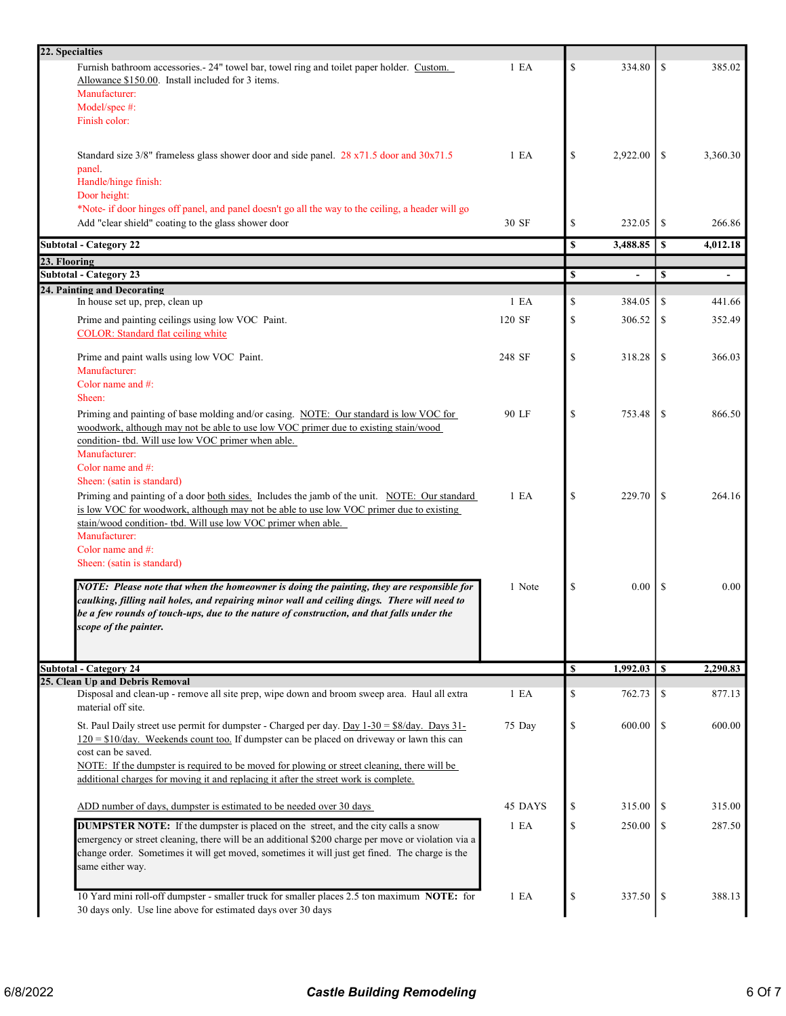| 22. Specialties                                                                                                                                                                                                                                                                                                      |                  |              |                 |    |                  |
|----------------------------------------------------------------------------------------------------------------------------------------------------------------------------------------------------------------------------------------------------------------------------------------------------------------------|------------------|--------------|-----------------|----|------------------|
| Furnish bathroom accessories. - 24" towel bar, towel ring and toilet paper holder. Custom.<br>Allowance \$150.00. Install included for 3 items.                                                                                                                                                                      | 1 E A            | \$           | 334.80          | \$ | 385.02           |
| Manufacturer:                                                                                                                                                                                                                                                                                                        |                  |              |                 |    |                  |
| Model/spec #:                                                                                                                                                                                                                                                                                                        |                  |              |                 |    |                  |
| Finish color:                                                                                                                                                                                                                                                                                                        |                  |              |                 |    |                  |
| Standard size $3/8$ " frameless glass shower door and side panel. 28 x71.5 door and $30x71.5$                                                                                                                                                                                                                        | 1 E <sub>A</sub> | \$           | 2,922.00        | \$ | 3,360.30         |
| panel.                                                                                                                                                                                                                                                                                                               |                  |              |                 |    |                  |
| Handle/hinge finish:                                                                                                                                                                                                                                                                                                 |                  |              |                 |    |                  |
| Door height:                                                                                                                                                                                                                                                                                                         |                  |              |                 |    |                  |
| *Note- if door hinges off panel, and panel doesn't go all the way to the ceiling, a header will go                                                                                                                                                                                                                   |                  |              |                 |    |                  |
| Add "clear shield" coating to the glass shower door                                                                                                                                                                                                                                                                  | 30 SF            | \$           | 232.05          | \$ | 266.86           |
| <b>Subtotal - Category 22</b><br>23. Flooring                                                                                                                                                                                                                                                                        |                  | \$           | 3,488.85        | S  | 4,012.18         |
| <b>Subtotal - Category 23</b>                                                                                                                                                                                                                                                                                        |                  | \$           |                 | \$ |                  |
| 24. Painting and Decorating                                                                                                                                                                                                                                                                                          |                  |              |                 |    |                  |
| In house set up, prep, clean up                                                                                                                                                                                                                                                                                      | 1 E A            | \$           | 384.05          | \$ | 441.66           |
| Prime and painting ceilings using low VOC Paint.<br>COLOR: Standard flat ceiling white                                                                                                                                                                                                                               | 120 SF           | \$           | 306.52          | -S | 352.49           |
| Prime and paint walls using low VOC Paint.                                                                                                                                                                                                                                                                           | 248 SF           | \$           | 318.28          | \$ | 366.03           |
| Manufacturer:                                                                                                                                                                                                                                                                                                        |                  |              |                 |    |                  |
| Color name and #:                                                                                                                                                                                                                                                                                                    |                  |              |                 |    |                  |
| Sheen:                                                                                                                                                                                                                                                                                                               |                  |              |                 |    |                  |
| Priming and painting of base molding and/or casing. NOTE: Our standard is low VOC for                                                                                                                                                                                                                                | 90 LF            | $\mathbb{S}$ | 753.48          | \$ | 866.50           |
| woodwork, although may not be able to use low VOC primer due to existing stain/wood                                                                                                                                                                                                                                  |                  |              |                 |    |                  |
| condition- tbd. Will use low VOC primer when able.                                                                                                                                                                                                                                                                   |                  |              |                 |    |                  |
| Manufacturer:<br>Color name and #:                                                                                                                                                                                                                                                                                   |                  |              |                 |    |                  |
| Sheen: (satin is standard)                                                                                                                                                                                                                                                                                           |                  |              |                 |    |                  |
| Priming and painting of a door both sides. Includes the jamb of the unit. NOTE: Our standard<br>is low VOC for woodwork, although may not be able to use low VOC primer due to existing                                                                                                                              | 1 E A            | \$           | 229.70          | \$ | 264.16           |
| stain/wood condition- tbd. Will use low VOC primer when able.<br>Manufacturer:                                                                                                                                                                                                                                       |                  |              |                 |    |                  |
| Color name and #:                                                                                                                                                                                                                                                                                                    |                  |              |                 |    |                  |
| Sheen: (satin is standard)                                                                                                                                                                                                                                                                                           |                  |              |                 |    |                  |
| NOTE: Please note that when the homeowner is doing the painting, they are responsible for<br>caulking, filling nail holes, and repairing minor wall and ceiling dings. There will need to<br>be a few rounds of touch-ups, due to the nature of construction, and that falls under the<br>scope of the painter.      | 1 Note           | \$           | 0.00            | \$ | 0.00             |
| <b>Subtotal - Category 24</b>                                                                                                                                                                                                                                                                                        |                  | \$           | $1,992.03$   \$ |    | 2,290.83         |
| 25. Clean Up and Debris Removal<br>Disposal and clean-up - remove all site prep, wipe down and broom sweep area. Haul all extra<br>material off site.                                                                                                                                                                | 1 E A            | \$           | 762.73          | \$ | 877.13           |
| St. Paul Daily street use permit for dumpster - Charged per day. Day $1-30 = $8/day$ . Days 31-<br>$120 = $10$ /day. Weekends count too. If dumpster can be placed on driveway or lawn this can                                                                                                                      | 75 Day           | \$           | 600.00          | \$ | 600.00           |
| cost can be saved.                                                                                                                                                                                                                                                                                                   |                  |              |                 |    |                  |
| NOTE: If the dumpster is required to be moved for plowing or street cleaning, there will be                                                                                                                                                                                                                          |                  |              |                 |    |                  |
| additional charges for moving it and replacing it after the street work is complete.                                                                                                                                                                                                                                 |                  |              |                 |    |                  |
|                                                                                                                                                                                                                                                                                                                      |                  |              |                 | -S | 315.00           |
| ADD number of days, dumpster is estimated to be needed over 30 days                                                                                                                                                                                                                                                  | 45 DAYS          | \$           | 315.00          |    |                  |
|                                                                                                                                                                                                                                                                                                                      |                  |              |                 |    |                  |
| <b>DUMPSTER NOTE:</b> If the dumpster is placed on the street, and the city calls a snow<br>emergency or street cleaning, there will be an additional \$200 charge per move or violation via a<br>change order. Sometimes it will get moved, sometimes it will just get fined. The charge is the<br>same either way. | 1 E A            | \$           | 250.00          | -S |                  |
| 10 Yard mini roll-off dumpster - smaller truck for smaller places 2.5 ton maximum NOTE: for                                                                                                                                                                                                                          | 1 E A            | \$           | 337.50          | \$ | 287.50<br>388.13 |